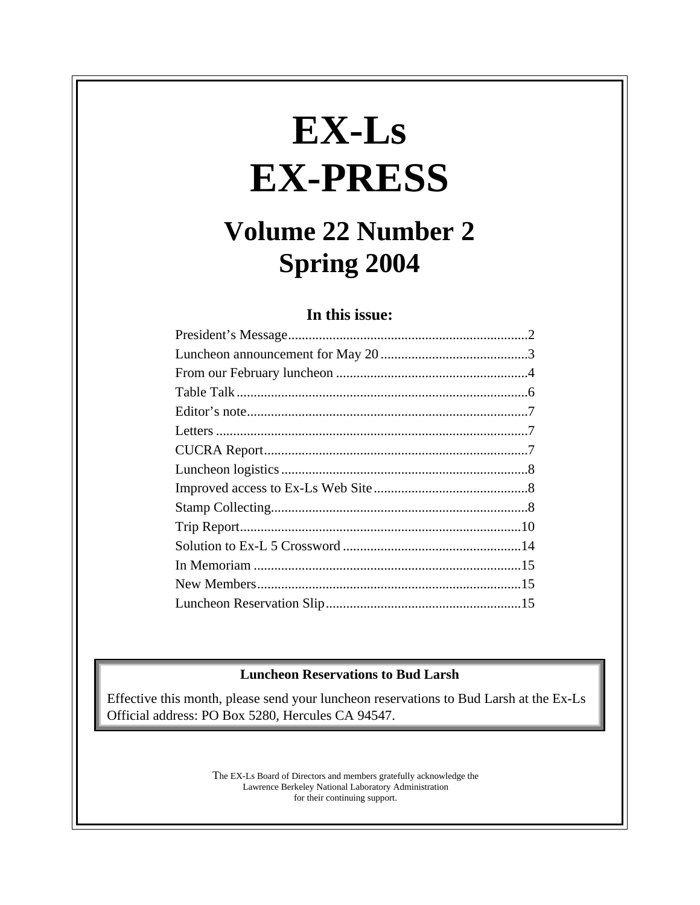# **EX-Ls EX-PRESS**

## **Volume 22 Number 2 Spring 2004**

#### **In this issue:**

#### **Luncheon Reservations to Bud Larsh**

Effective this month, please send your luncheon reservations to Bud Larsh at the Ex-Ls Official address: PO Box 5280, Hercules CA 94547.

> The EX-Ls Board of Directors and members gratefully acknowledge the Lawrence Berkeley National Laboratory Administration for their continuing support.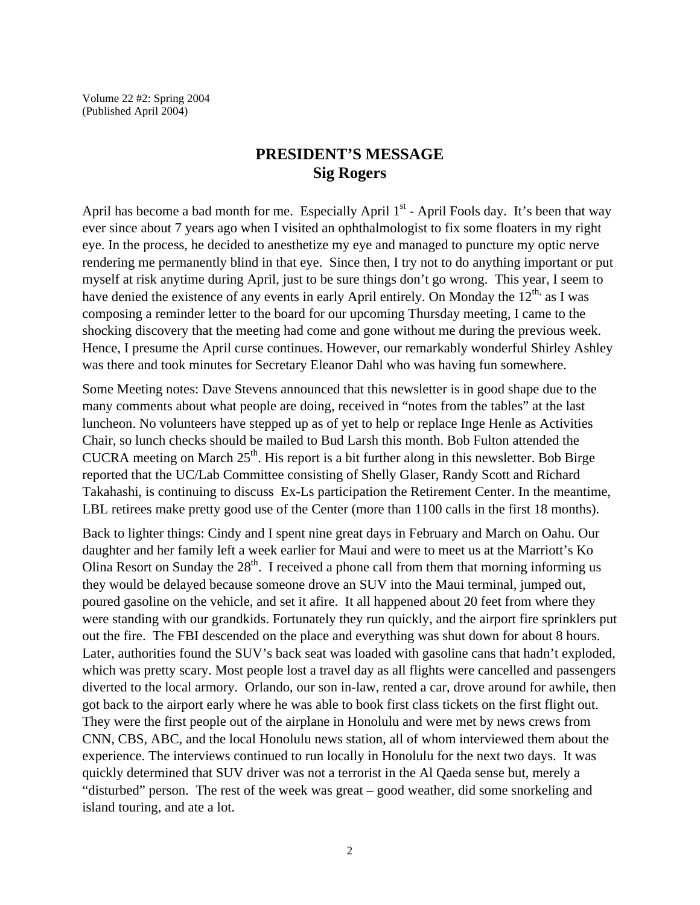Volume 22 #2: Spring 2004 (Published April 2004)

#### **PRESIDENT'S MESSAGE Sig Rogers**

April has become a bad month for me. Especially April  $1<sup>st</sup>$  - April Fools day. It's been that way ever since about 7 years ago when I visited an ophthalmologist to fix some floaters in my right eye. In the process, he decided to anesthetize my eye and managed to puncture my optic nerve rendering me permanently blind in that eye. Since then, I try not to do anything important or put myself at risk anytime during April, just to be sure things don't go wrong. This year, I seem to have denied the existence of any events in early April entirely. On Monday the  $12<sup>th</sup>$  as I was composing a reminder letter to the board for our upcoming Thursday meeting, I came to the shocking discovery that the meeting had come and gone without me during the previous week. Hence, I presume the April curse continues. However, our remarkably wonderful Shirley Ashley was there and took minutes for Secretary Eleanor Dahl who was having fun somewhere.

Some Meeting notes: Dave Stevens announced that this newsletter is in good shape due to the many comments about what people are doing, received in "notes from the tables" at the last luncheon. No volunteers have stepped up as of yet to help or replace Inge Henle as Activities Chair, so lunch checks should be mailed to Bud Larsh this month. Bob Fulton attended the CUCRA meeting on March  $25<sup>th</sup>$ . His report is a bit further along in this newsletter. Bob Birge reported that the UC/Lab Committee consisting of Shelly Glaser, Randy Scott and Richard Takahashi, is continuing to discuss Ex-Ls participation the Retirement Center. In the meantime, LBL retirees make pretty good use of the Center (more than 1100 calls in the first 18 months).

Back to lighter things: Cindy and I spent nine great days in February and March on Oahu. Our daughter and her family left a week earlier for Maui and were to meet us at the Marriott's Ko Olina Resort on Sunday the  $28<sup>th</sup>$ . I received a phone call from them that morning informing us they would be delayed because someone drove an SUV into the Maui terminal, jumped out, poured gasoline on the vehicle, and set it afire. It all happened about 20 feet from where they were standing with our grandkids. Fortunately they run quickly, and the airport fire sprinklers put out the fire. The FBI descended on the place and everything was shut down for about 8 hours. Later, authorities found the SUV's back seat was loaded with gasoline cans that hadn't exploded, which was pretty scary. Most people lost a travel day as all flights were cancelled and passengers diverted to the local armory. Orlando, our son in-law, rented a car, drove around for awhile, then got back to the airport early where he was able to book first class tickets on the first flight out. They were the first people out of the airplane in Honolulu and were met by news crews from CNN, CBS, ABC, and the local Honolulu news station, all of whom interviewed them about the experience. The interviews continued to run locally in Honolulu for the next two days. It was quickly determined that SUV driver was not a terrorist in the Al Qaeda sense but, merely a "disturbed" person. The rest of the week was great – good weather, did some snorkeling and island touring, and ate a lot.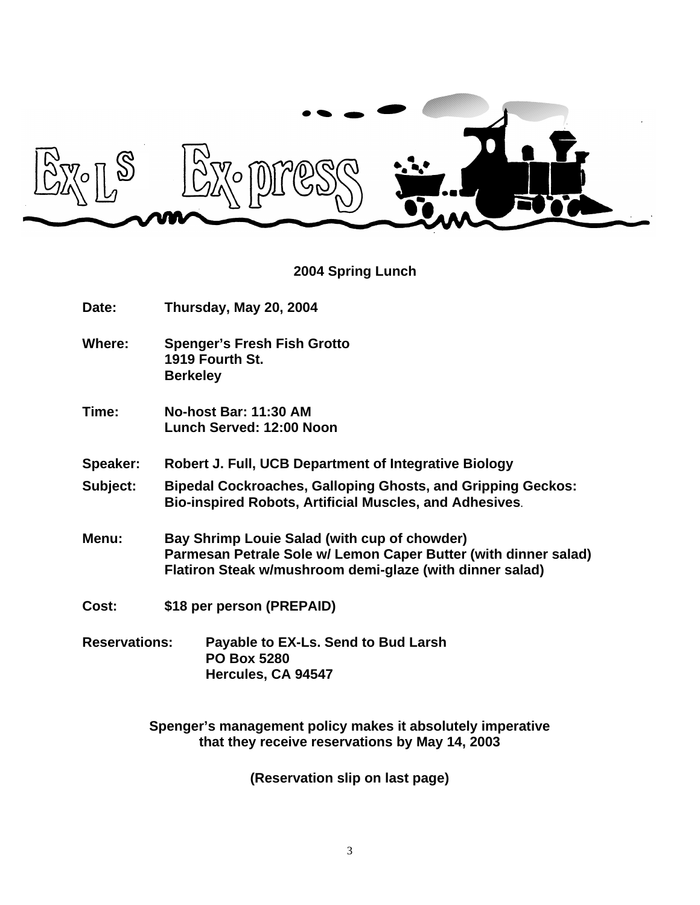

#### **2004 Spring Lunch**

- **Date: Thursday, May 20, 2004**
- **Where: Spenger's Fresh Fish Grotto 1919 Fourth St. Berkeley**
- **Time: No-host Bar: 11:30 AM Lunch Served: 12:00 Noon**
- **Speaker: Robert J. Full, UCB Department of Integrative Biology**
- **Subject: Bipedal Cockroaches, Galloping Ghosts, and Gripping Geckos: Bio-inspired Robots, Artificial Muscles, and Adhesives**.
- **Menu: Bay Shrimp Louie Salad (with cup of chowder) Parmesan Petrale Sole w/ Lemon Caper Butter (with dinner salad) Flatiron Steak w/mushroom demi-glaze (with dinner salad)**
- **Cost: \$18 per person (PREPAID)**
- **Reservations: Payable to EX-Ls. Send to Bud Larsh PO Box 5280 Hercules, CA 94547**

**Spenger's management policy makes it absolutely imperative that they receive reservations by May 14, 2003**

**(Reservation slip on last page)**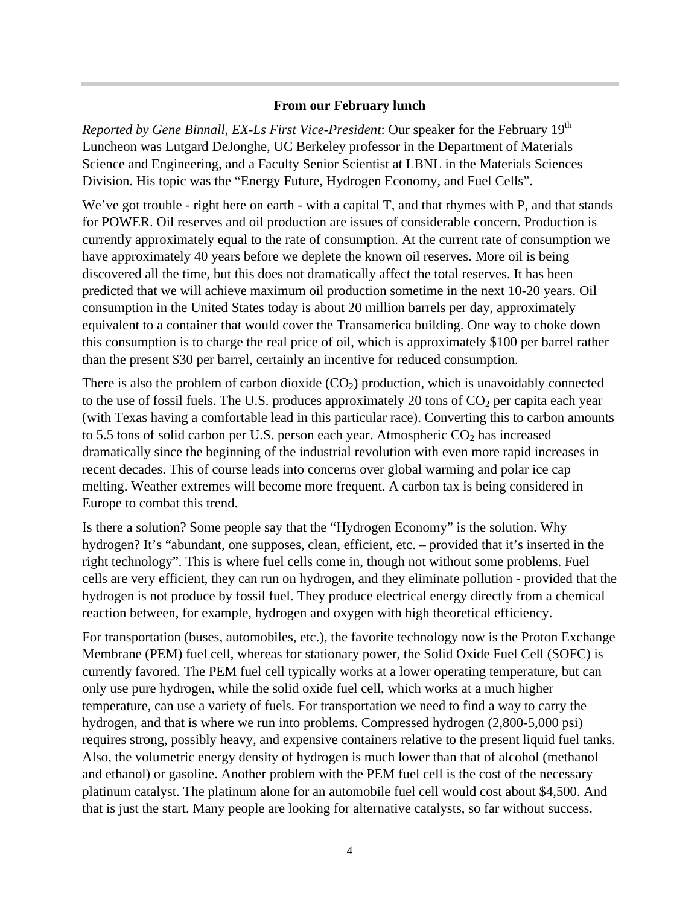#### **From our February lunch**

*Reported by Gene Binnall, EX-Ls First Vice-President*: Our speaker for the February 19<sup>th</sup> Luncheon was Lutgard DeJonghe, UC Berkeley professor in the Department of Materials Science and Engineering, and a Faculty Senior Scientist at LBNL in the Materials Sciences Division. His topic was the "Energy Future, Hydrogen Economy, and Fuel Cells".

We've got trouble - right here on earth - with a capital T, and that rhymes with P, and that stands for POWER. Oil reserves and oil production are issues of considerable concern. Production is currently approximately equal to the rate of consumption. At the current rate of consumption we have approximately 40 years before we deplete the known oil reserves. More oil is being discovered all the time, but this does not dramatically affect the total reserves. It has been predicted that we will achieve maximum oil production sometime in the next 10-20 years. Oil consumption in the United States today is about 20 million barrels per day, approximately equivalent to a container that would cover the Transamerica building. One way to choke down this consumption is to charge the real price of oil, which is approximately \$100 per barrel rather than the present \$30 per barrel, certainly an incentive for reduced consumption.

There is also the problem of carbon dioxide  $(CO_2)$  production, which is unavoidably connected to the use of fossil fuels. The U.S. produces approximately 20 tons of  $CO<sub>2</sub>$  per capita each year (with Texas having a comfortable lead in this particular race). Converting this to carbon amounts to 5.5 tons of solid carbon per U.S. person each year. Atmospheric  $CO<sub>2</sub>$  has increased dramatically since the beginning of the industrial revolution with even more rapid increases in recent decades. This of course leads into concerns over global warming and polar ice cap melting. Weather extremes will become more frequent. A carbon tax is being considered in Europe to combat this trend.

Is there a solution? Some people say that the "Hydrogen Economy" is the solution. Why hydrogen? It's "abundant, one supposes, clean, efficient, etc. – provided that it's inserted in the right technology". This is where fuel cells come in, though not without some problems. Fuel cells are very efficient, they can run on hydrogen, and they eliminate pollution - provided that the hydrogen is not produce by fossil fuel. They produce electrical energy directly from a chemical reaction between, for example, hydrogen and oxygen with high theoretical efficiency.

For transportation (buses, automobiles, etc.), the favorite technology now is the Proton Exchange Membrane (PEM) fuel cell, whereas for stationary power, the Solid Oxide Fuel Cell (SOFC) is currently favored. The PEM fuel cell typically works at a lower operating temperature, but can only use pure hydrogen, while the solid oxide fuel cell, which works at a much higher temperature, can use a variety of fuels. For transportation we need to find a way to carry the hydrogen, and that is where we run into problems. Compressed hydrogen (2,800-5,000 psi) requires strong, possibly heavy, and expensive containers relative to the present liquid fuel tanks. Also, the volumetric energy density of hydrogen is much lower than that of alcohol (methanol and ethanol) or gasoline. Another problem with the PEM fuel cell is the cost of the necessary platinum catalyst. The platinum alone for an automobile fuel cell would cost about \$4,500. And that is just the start. Many people are looking for alternative catalysts, so far without success.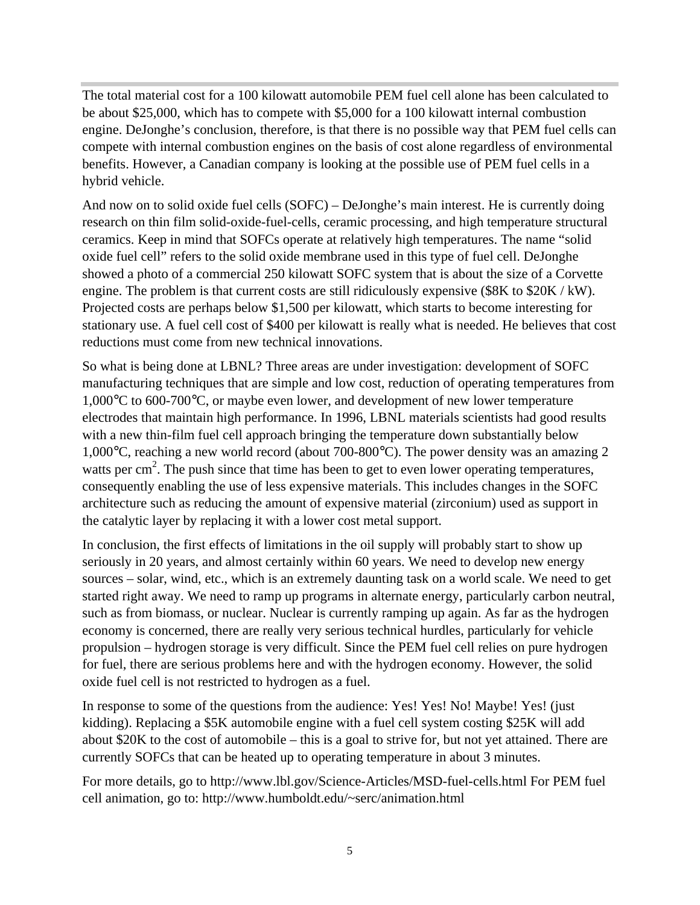The total material cost for a 100 kilowatt automobile PEM fuel cell alone has been calculated to be about \$25,000, which has to compete with \$5,000 for a 100 kilowatt internal combustion engine. DeJonghe's conclusion, therefore, is that there is no possible way that PEM fuel cells can compete with internal combustion engines on the basis of cost alone regardless of environmental benefits. However, a Canadian company is looking at the possible use of PEM fuel cells in a hybrid vehicle.

And now on to solid oxide fuel cells (SOFC) – DeJonghe's main interest. He is currently doing research on thin film solid-oxide-fuel-cells, ceramic processing, and high temperature structural ceramics. Keep in mind that SOFCs operate at relatively high temperatures. The name "solid oxide fuel cell" refers to the solid oxide membrane used in this type of fuel cell. DeJonghe showed a photo of a commercial 250 kilowatt SOFC system that is about the size of a Corvette engine. The problem is that current costs are still ridiculously expensive (\$8K to \$20K / kW). Projected costs are perhaps below \$1,500 per kilowatt, which starts to become interesting for stationary use. A fuel cell cost of \$400 per kilowatt is really what is needed. He believes that cost reductions must come from new technical innovations.

So what is being done at LBNL? Three areas are under investigation: development of SOFC manufacturing techniques that are simple and low cost, reduction of operating temperatures from 1,000°C to 600-700°C, or maybe even lower, and development of new lower temperature electrodes that maintain high performance. In 1996, LBNL materials scientists had good results with a new thin-film fuel cell approach bringing the temperature down substantially below 1,000°C, reaching a new world record (about 700-800°C). The power density was an amazing 2 watts per  $\text{cm}^2$ . The push since that time has been to get to even lower operating temperatures, consequently enabling the use of less expensive materials. This includes changes in the SOFC architecture such as reducing the amount of expensive material (zirconium) used as support in the catalytic layer by replacing it with a lower cost metal support.

In conclusion, the first effects of limitations in the oil supply will probably start to show up seriously in 20 years, and almost certainly within 60 years. We need to develop new energy sources – solar, wind, etc., which is an extremely daunting task on a world scale. We need to get started right away. We need to ramp up programs in alternate energy, particularly carbon neutral, such as from biomass, or nuclear. Nuclear is currently ramping up again. As far as the hydrogen economy is concerned, there are really very serious technical hurdles, particularly for vehicle propulsion – hydrogen storage is very difficult. Since the PEM fuel cell relies on pure hydrogen for fuel, there are serious problems here and with the hydrogen economy. However, the solid oxide fuel cell is not restricted to hydrogen as a fuel.

In response to some of the questions from the audience: Yes! Yes! No! Maybe! Yes! (just kidding). Replacing a \$5K automobile engine with a fuel cell system costing \$25K will add about \$20K to the cost of automobile – this is a goal to strive for, but not yet attained. There are currently SOFCs that can be heated up to operating temperature in about 3 minutes.

For more details, go to http://www.lbl.gov/Science-Articles/MSD-fuel-cells.html For PEM fuel cell animation, go to: http://www.humboldt.edu/~serc/animation.html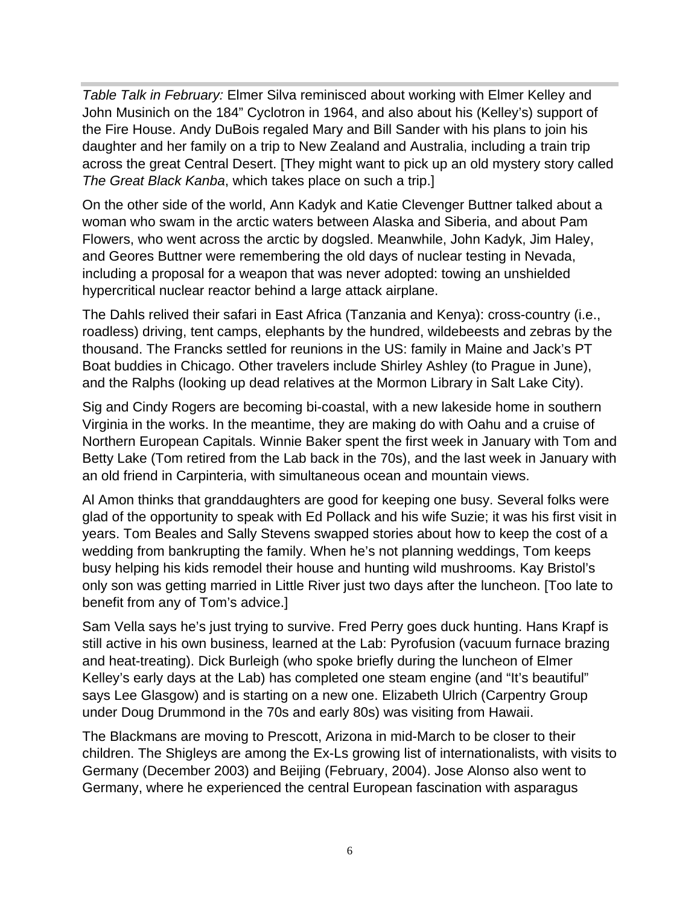*Table Talk in February:* Elmer Silva reminisced about working with Elmer Kelley and John Musinich on the 184" Cyclotron in 1964, and also about his (Kelley's) support of the Fire House. Andy DuBois regaled Mary and Bill Sander with his plans to join his daughter and her family on a trip to New Zealand and Australia, including a train trip across the great Central Desert. [They might want to pick up an old mystery story called *The Great Black Kanba*, which takes place on such a trip.]

On the other side of the world, Ann Kadyk and Katie Clevenger Buttner talked about a woman who swam in the arctic waters between Alaska and Siberia, and about Pam Flowers, who went across the arctic by dogsled. Meanwhile, John Kadyk, Jim Haley, and Geores Buttner were remembering the old days of nuclear testing in Nevada, including a proposal for a weapon that was never adopted: towing an unshielded hypercritical nuclear reactor behind a large attack airplane.

The Dahls relived their safari in East Africa (Tanzania and Kenya): cross-country (i.e., roadless) driving, tent camps, elephants by the hundred, wildebeests and zebras by the thousand. The Francks settled for reunions in the US: family in Maine and Jack's PT Boat buddies in Chicago. Other travelers include Shirley Ashley (to Prague in June), and the Ralphs (looking up dead relatives at the Mormon Library in Salt Lake City).

Sig and Cindy Rogers are becoming bi-coastal, with a new lakeside home in southern Virginia in the works. In the meantime, they are making do with Oahu and a cruise of Northern European Capitals. Winnie Baker spent the first week in January with Tom and Betty Lake (Tom retired from the Lab back in the 70s), and the last week in January with an old friend in Carpinteria, with simultaneous ocean and mountain views.

Al Amon thinks that granddaughters are good for keeping one busy. Several folks were glad of the opportunity to speak with Ed Pollack and his wife Suzie; it was his first visit in years. Tom Beales and Sally Stevens swapped stories about how to keep the cost of a wedding from bankrupting the family. When he's not planning weddings, Tom keeps busy helping his kids remodel their house and hunting wild mushrooms. Kay Bristol's only son was getting married in Little River just two days after the luncheon. [Too late to benefit from any of Tom's advice.]

Sam Vella says he's just trying to survive. Fred Perry goes duck hunting. Hans Krapf is still active in his own business, learned at the Lab: Pyrofusion (vacuum furnace brazing and heat-treating). Dick Burleigh (who spoke briefly during the luncheon of Elmer Kelley's early days at the Lab) has completed one steam engine (and "It's beautiful" says Lee Glasgow) and is starting on a new one. Elizabeth Ulrich (Carpentry Group under Doug Drummond in the 70s and early 80s) was visiting from Hawaii.

The Blackmans are moving to Prescott, Arizona in mid-March to be closer to their children. The Shigleys are among the Ex-Ls growing list of internationalists, with visits to Germany (December 2003) and Beijing (February, 2004). Jose Alonso also went to Germany, where he experienced the central European fascination with asparagus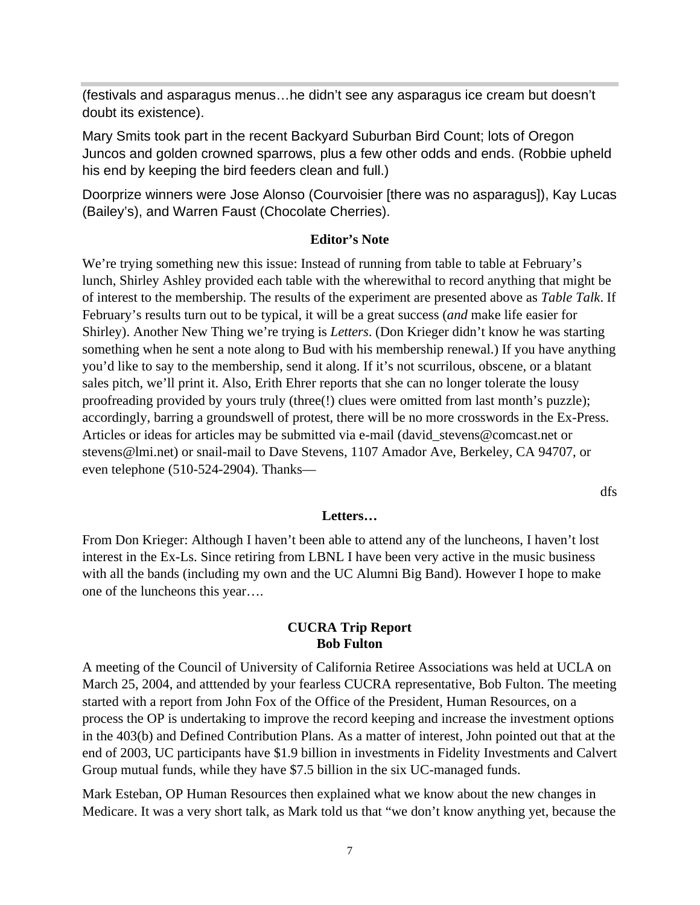(festivals and asparagus menus…he didn't see any asparagus ice cream but doesn't doubt its existence).

Mary Smits took part in the recent Backyard Suburban Bird Count; lots of Oregon Juncos and golden crowned sparrows, plus a few other odds and ends. (Robbie upheld his end by keeping the bird feeders clean and full.)

Doorprize winners were Jose Alonso (Courvoisier [there was no asparagus]), Kay Lucas (Bailey's), and Warren Faust (Chocolate Cherries).

#### **Editor's Note**

We're trying something new this issue: Instead of running from table to table at February's lunch, Shirley Ashley provided each table with the wherewithal to record anything that might be of interest to the membership. The results of the experiment are presented above as *Table Talk*. If February's results turn out to be typical, it will be a great success (*and* make life easier for Shirley). Another New Thing we're trying is *Letters*. (Don Krieger didn't know he was starting something when he sent a note along to Bud with his membership renewal.) If you have anything you'd like to say to the membership, send it along. If it's not scurrilous, obscene, or a blatant sales pitch, we'll print it. Also, Erith Ehrer reports that she can no longer tolerate the lousy proofreading provided by yours truly (three(!) clues were omitted from last month's puzzle); accordingly, barring a groundswell of protest, there will be no more crosswords in the Ex-Press. Articles or ideas for articles may be submitted via e-mail (david\_stevens@comcast.net or stevens@lmi.net) or snail-mail to Dave Stevens, 1107 Amador Ave, Berkeley, CA 94707, or even telephone (510-524-2904). Thanks—

dfs

#### **Letters…**

From Don Krieger: Although I haven't been able to attend any of the luncheons, I haven't lost interest in the Ex-Ls. Since retiring from LBNL I have been very active in the music business with all the bands (including my own and the UC Alumni Big Band). However I hope to make one of the luncheons this year….

#### **CUCRA Trip Report Bob Fulton**

A meeting of the Council of University of California Retiree Associations was held at UCLA on March 25, 2004, and atttended by your fearless CUCRA representative, Bob Fulton. The meeting started with a report from John Fox of the Office of the President, Human Resources, on a process the OP is undertaking to improve the record keeping and increase the investment options in the 403(b) and Defined Contribution Plans. As a matter of interest, John pointed out that at the end of 2003, UC participants have \$1.9 billion in investments in Fidelity Investments and Calvert Group mutual funds, while they have \$7.5 billion in the six UC-managed funds.

Mark Esteban, OP Human Resources then explained what we know about the new changes in Medicare. It was a very short talk, as Mark told us that "we don't know anything yet, because the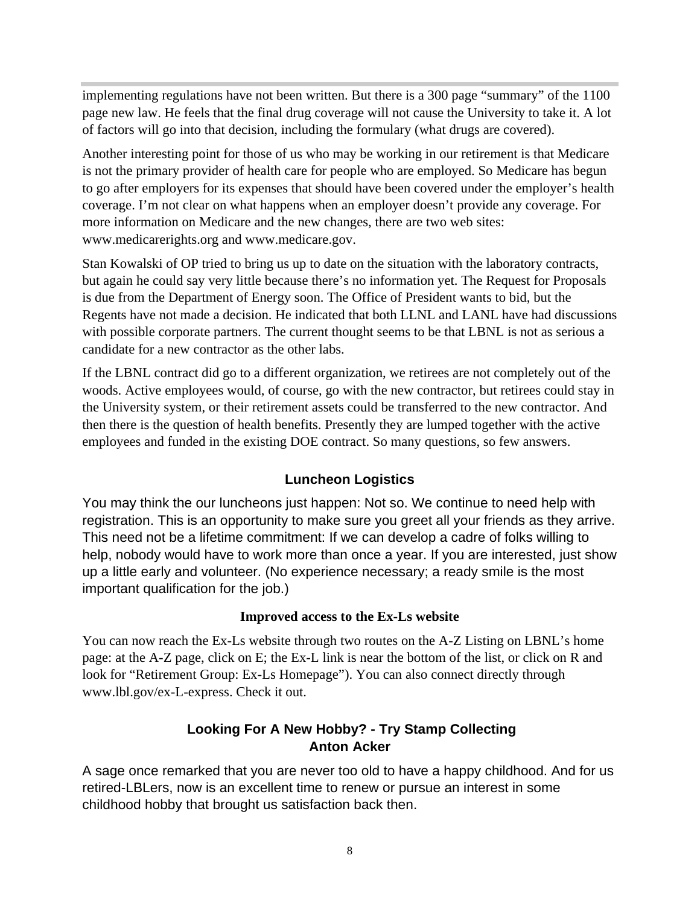implementing regulations have not been written. But there is a 300 page "summary" of the 1100 page new law. He feels that the final drug coverage will not cause the University to take it. A lot of factors will go into that decision, including the formulary (what drugs are covered).

Another interesting point for those of us who may be working in our retirement is that Medicare is not the primary provider of health care for people who are employed. So Medicare has begun to go after employers for its expenses that should have been covered under the employer's health coverage. I'm not clear on what happens when an employer doesn't provide any coverage. For more information on Medicare and the new changes, there are two web sites: www.medicarerights.org and www.medicare.gov.

Stan Kowalski of OP tried to bring us up to date on the situation with the laboratory contracts, but again he could say very little because there's no information yet. The Request for Proposals is due from the Department of Energy soon. The Office of President wants to bid, but the Regents have not made a decision. He indicated that both LLNL and LANL have had discussions with possible corporate partners. The current thought seems to be that LBNL is not as serious a candidate for a new contractor as the other labs.

If the LBNL contract did go to a different organization, we retirees are not completely out of the woods. Active employees would, of course, go with the new contractor, but retirees could stay in the University system, or their retirement assets could be transferred to the new contractor. And then there is the question of health benefits. Presently they are lumped together with the active employees and funded in the existing DOE contract. So many questions, so few answers.

#### **Luncheon Logistics**

You may think the our luncheons just happen: Not so. We continue to need help with registration. This is an opportunity to make sure you greet all your friends as they arrive. This need not be a lifetime commitment: If we can develop a cadre of folks willing to help, nobody would have to work more than once a year. If you are interested, just show up a little early and volunteer. (No experience necessary; a ready smile is the most important qualification for the job.)

#### **Improved access to the Ex-Ls website**

You can now reach the Ex-Ls website through two routes on the A-Z Listing on LBNL's home page: at the A-Z page, click on E; the Ex-L link is near the bottom of the list, or click on R and look for "Retirement Group: Ex-Ls Homepage"). You can also connect directly through www.lbl.gov/ex-L-express. Check it out.

#### **Looking For A New Hobby? - Try Stamp Collecting Anton Acker**

A sage once remarked that you are never too old to have a happy childhood. And for us retired-LBLers, now is an excellent time to renew or pursue an interest in some childhood hobby that brought us satisfaction back then.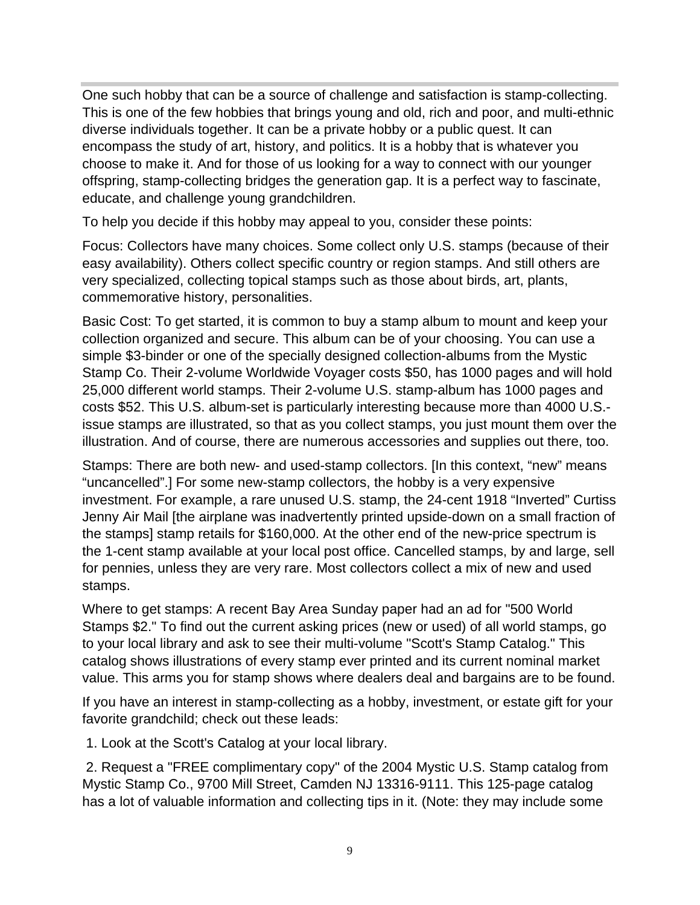One such hobby that can be a source of challenge and satisfaction is stamp-collecting. This is one of the few hobbies that brings young and old, rich and poor, and multi-ethnic diverse individuals together. It can be a private hobby or a public quest. It can encompass the study of art, history, and politics. It is a hobby that is whatever you choose to make it. And for those of us looking for a way to connect with our younger offspring, stamp-collecting bridges the generation gap. It is a perfect way to fascinate, educate, and challenge young grandchildren.

To help you decide if this hobby may appeal to you, consider these points:

Focus: Collectors have many choices. Some collect only U.S. stamps (because of their easy availability). Others collect specific country or region stamps. And still others are very specialized, collecting topical stamps such as those about birds, art, plants, commemorative history, personalities.

Basic Cost: To get started, it is common to buy a stamp album to mount and keep your collection organized and secure. This album can be of your choosing. You can use a simple \$3-binder or one of the specially designed collection-albums from the Mystic Stamp Co. Their 2-volume Worldwide Voyager costs \$50, has 1000 pages and will hold 25,000 different world stamps. Their 2-volume U.S. stamp-album has 1000 pages and costs \$52. This U.S. album-set is particularly interesting because more than 4000 U.S. issue stamps are illustrated, so that as you collect stamps, you just mount them over the illustration. And of course, there are numerous accessories and supplies out there, too.

Stamps: There are both new- and used-stamp collectors. [In this context, "new" means "uncancelled".] For some new-stamp collectors, the hobby is a very expensive investment. For example, a rare unused U.S. stamp, the 24-cent 1918 "Inverted" Curtiss Jenny Air Mail [the airplane was inadvertently printed upside-down on a small fraction of the stamps] stamp retails for \$160,000. At the other end of the new-price spectrum is the 1-cent stamp available at your local post office. Cancelled stamps, by and large, sell for pennies, unless they are very rare. Most collectors collect a mix of new and used stamps.

Where to get stamps: A recent Bay Area Sunday paper had an ad for "500 World Stamps \$2." To find out the current asking prices (new or used) of all world stamps, go to your local library and ask to see their multi-volume "Scott's Stamp Catalog." This catalog shows illustrations of every stamp ever printed and its current nominal market value. This arms you for stamp shows where dealers deal and bargains are to be found.

If you have an interest in stamp-collecting as a hobby, investment, or estate gift for your favorite grandchild; check out these leads:

1. Look at the Scott's Catalog at your local library.

 2. Request a "FREE complimentary copy" of the 2004 Mystic U.S. Stamp catalog from Mystic Stamp Co., 9700 Mill Street, Camden NJ 13316-9111. This 125-page catalog has a lot of valuable information and collecting tips in it. (Note: they may include some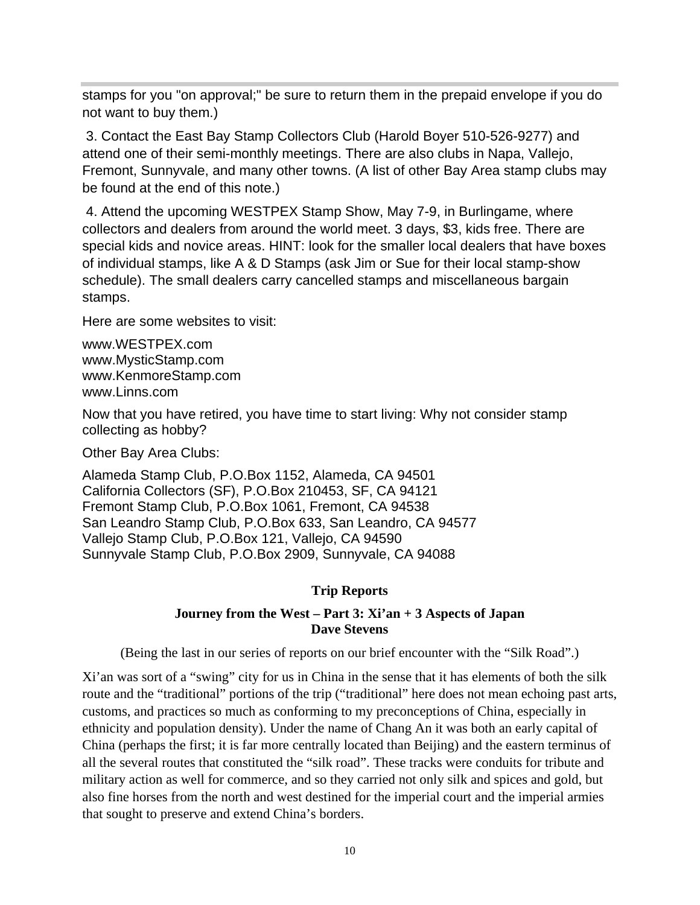stamps for you "on approval;" be sure to return them in the prepaid envelope if you do not want to buy them.)

 3. Contact the East Bay Stamp Collectors Club (Harold Boyer 510-526-9277) and attend one of their semi-monthly meetings. There are also clubs in Napa, Vallejo, Fremont, Sunnyvale, and many other towns. (A list of other Bay Area stamp clubs may be found at the end of this note.)

 4. Attend the upcoming WESTPEX Stamp Show, May 7-9, in Burlingame, where collectors and dealers from around the world meet. 3 days, \$3, kids free. There are special kids and novice areas. HINT: look for the smaller local dealers that have boxes of individual stamps, like A & D Stamps (ask Jim or Sue for their local stamp-show schedule). The small dealers carry cancelled stamps and miscellaneous bargain stamps.

Here are some websites to visit:

www.WESTPEX.com www.MysticStamp.com www.KenmoreStamp.com www.Linns.com

Now that you have retired, you have time to start living: Why not consider stamp collecting as hobby?

Other Bay Area Clubs:

Alameda Stamp Club, P.O.Box 1152, Alameda, CA 94501 California Collectors (SF), P.O.Box 210453, SF, CA 94121 Fremont Stamp Club, P.O.Box 1061, Fremont, CA 94538 San Leandro Stamp Club, P.O.Box 633, San Leandro, CA 94577 Vallejo Stamp Club, P.O.Box 121, Vallejo, CA 94590 Sunnyvale Stamp Club, P.O.Box 2909, Sunnyvale, CA 94088

#### **Trip Reports**

#### **Journey from the West – Part 3: Xi'an + 3 Aspects of Japan Dave Stevens**

(Being the last in our series of reports on our brief encounter with the "Silk Road".)

Xi'an was sort of a "swing" city for us in China in the sense that it has elements of both the silk route and the "traditional" portions of the trip ("traditional" here does not mean echoing past arts, customs, and practices so much as conforming to my preconceptions of China, especially in ethnicity and population density). Under the name of Chang An it was both an early capital of China (perhaps the first; it is far more centrally located than Beijing) and the eastern terminus of all the several routes that constituted the "silk road". These tracks were conduits for tribute and military action as well for commerce, and so they carried not only silk and spices and gold, but also fine horses from the north and west destined for the imperial court and the imperial armies that sought to preserve and extend China's borders.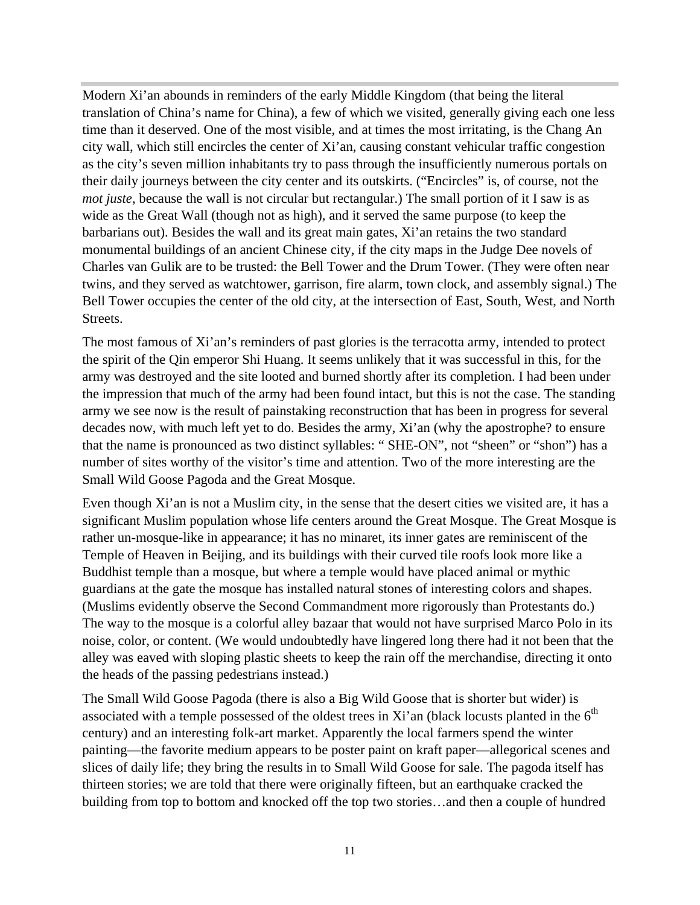Modern Xi'an abounds in reminders of the early Middle Kingdom (that being the literal translation of China's name for China), a few of which we visited, generally giving each one less time than it deserved. One of the most visible, and at times the most irritating, is the Chang An city wall, which still encircles the center of Xi'an, causing constant vehicular traffic congestion as the city's seven million inhabitants try to pass through the insufficiently numerous portals on their daily journeys between the city center and its outskirts. ("Encircles" is, of course, not the *mot juste*, because the wall is not circular but rectangular.) The small portion of it I saw is as wide as the Great Wall (though not as high), and it served the same purpose (to keep the barbarians out). Besides the wall and its great main gates, Xi'an retains the two standard monumental buildings of an ancient Chinese city, if the city maps in the Judge Dee novels of Charles van Gulik are to be trusted: the Bell Tower and the Drum Tower. (They were often near twins, and they served as watchtower, garrison, fire alarm, town clock, and assembly signal.) The Bell Tower occupies the center of the old city, at the intersection of East, South, West, and North Streets.

The most famous of Xi'an's reminders of past glories is the terracotta army, intended to protect the spirit of the Qin emperor Shi Huang. It seems unlikely that it was successful in this, for the army was destroyed and the site looted and burned shortly after its completion. I had been under the impression that much of the army had been found intact, but this is not the case. The standing army we see now is the result of painstaking reconstruction that has been in progress for several decades now, with much left yet to do. Besides the army, Xi'an (why the apostrophe? to ensure that the name is pronounced as two distinct syllables: " SHE-ON", not "sheen" or "shon") has a number of sites worthy of the visitor's time and attention. Two of the more interesting are the Small Wild Goose Pagoda and the Great Mosque.

Even though Xi'an is not a Muslim city, in the sense that the desert cities we visited are, it has a significant Muslim population whose life centers around the Great Mosque. The Great Mosque is rather un-mosque-like in appearance; it has no minaret, its inner gates are reminiscent of the Temple of Heaven in Beijing, and its buildings with their curved tile roofs look more like a Buddhist temple than a mosque, but where a temple would have placed animal or mythic guardians at the gate the mosque has installed natural stones of interesting colors and shapes. (Muslims evidently observe the Second Commandment more rigorously than Protestants do.) The way to the mosque is a colorful alley bazaar that would not have surprised Marco Polo in its noise, color, or content. (We would undoubtedly have lingered long there had it not been that the alley was eaved with sloping plastic sheets to keep the rain off the merchandise, directing it onto the heads of the passing pedestrians instead.)

The Small Wild Goose Pagoda (there is also a Big Wild Goose that is shorter but wider) is associated with a temple possessed of the oldest trees in Xi'an (black locusts planted in the  $6<sup>th</sup>$ century) and an interesting folk-art market. Apparently the local farmers spend the winter painting—the favorite medium appears to be poster paint on kraft paper—allegorical scenes and slices of daily life; they bring the results in to Small Wild Goose for sale. The pagoda itself has thirteen stories; we are told that there were originally fifteen, but an earthquake cracked the building from top to bottom and knocked off the top two stories…and then a couple of hundred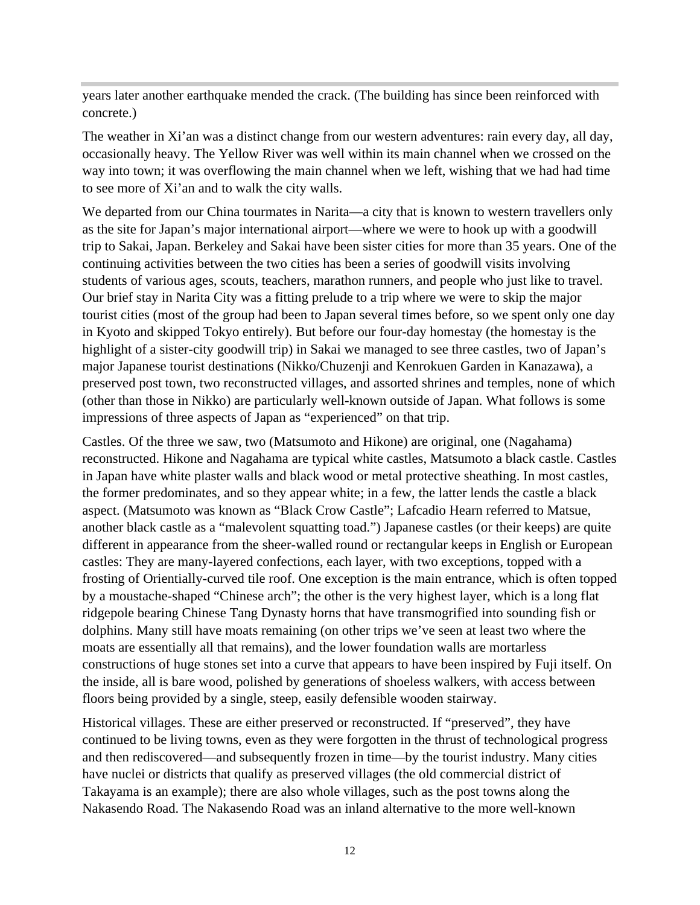years later another earthquake mended the crack. (The building has since been reinforced with concrete.)

The weather in Xi'an was a distinct change from our western adventures: rain every day, all day, occasionally heavy. The Yellow River was well within its main channel when we crossed on the way into town; it was overflowing the main channel when we left, wishing that we had had time to see more of Xi'an and to walk the city walls.

We departed from our China tourmates in Narita—a city that is known to western travellers only as the site for Japan's major international airport—where we were to hook up with a goodwill trip to Sakai, Japan. Berkeley and Sakai have been sister cities for more than 35 years. One of the continuing activities between the two cities has been a series of goodwill visits involving students of various ages, scouts, teachers, marathon runners, and people who just like to travel. Our brief stay in Narita City was a fitting prelude to a trip where we were to skip the major tourist cities (most of the group had been to Japan several times before, so we spent only one day in Kyoto and skipped Tokyo entirely). But before our four-day homestay (the homestay is the highlight of a sister-city goodwill trip) in Sakai we managed to see three castles, two of Japan's major Japanese tourist destinations (Nikko/Chuzenji and Kenrokuen Garden in Kanazawa), a preserved post town, two reconstructed villages, and assorted shrines and temples, none of which (other than those in Nikko) are particularly well-known outside of Japan. What follows is some impressions of three aspects of Japan as "experienced" on that trip.

Castles. Of the three we saw, two (Matsumoto and Hikone) are original, one (Nagahama) reconstructed. Hikone and Nagahama are typical white castles, Matsumoto a black castle. Castles in Japan have white plaster walls and black wood or metal protective sheathing. In most castles, the former predominates, and so they appear white; in a few, the latter lends the castle a black aspect. (Matsumoto was known as "Black Crow Castle"; Lafcadio Hearn referred to Matsue, another black castle as a "malevolent squatting toad.") Japanese castles (or their keeps) are quite different in appearance from the sheer-walled round or rectangular keeps in English or European castles: They are many-layered confections, each layer, with two exceptions, topped with a frosting of Orientially-curved tile roof. One exception is the main entrance, which is often topped by a moustache-shaped "Chinese arch"; the other is the very highest layer, which is a long flat ridgepole bearing Chinese Tang Dynasty horns that have transmogrified into sounding fish or dolphins. Many still have moats remaining (on other trips we've seen at least two where the moats are essentially all that remains), and the lower foundation walls are mortarless constructions of huge stones set into a curve that appears to have been inspired by Fuji itself. On the inside, all is bare wood, polished by generations of shoeless walkers, with access between floors being provided by a single, steep, easily defensible wooden stairway.

Historical villages. These are either preserved or reconstructed. If "preserved", they have continued to be living towns, even as they were forgotten in the thrust of technological progress and then rediscovered—and subsequently frozen in time—by the tourist industry. Many cities have nuclei or districts that qualify as preserved villages (the old commercial district of Takayama is an example); there are also whole villages, such as the post towns along the Nakasendo Road. The Nakasendo Road was an inland alternative to the more well-known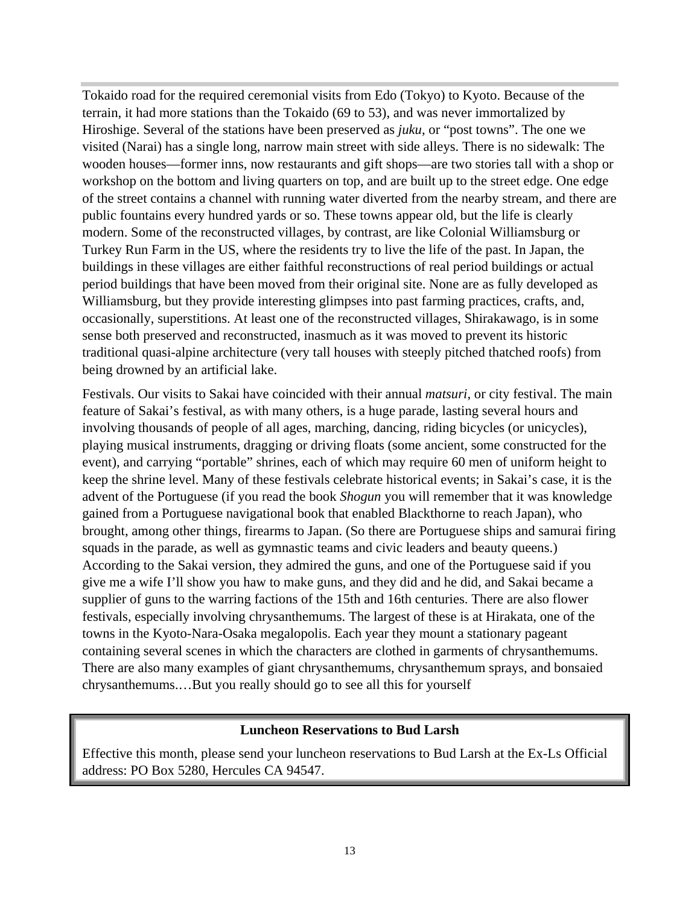Tokaido road for the required ceremonial visits from Edo (Tokyo) to Kyoto. Because of the terrain, it had more stations than the Tokaido (69 to 53), and was never immortalized by Hiroshige. Several of the stations have been preserved as *juku*, or "post towns". The one we visited (Narai) has a single long, narrow main street with side alleys. There is no sidewalk: The wooden houses—former inns, now restaurants and gift shops—are two stories tall with a shop or workshop on the bottom and living quarters on top, and are built up to the street edge. One edge of the street contains a channel with running water diverted from the nearby stream, and there are public fountains every hundred yards or so. These towns appear old, but the life is clearly modern. Some of the reconstructed villages, by contrast, are like Colonial Williamsburg or Turkey Run Farm in the US, where the residents try to live the life of the past. In Japan, the buildings in these villages are either faithful reconstructions of real period buildings or actual period buildings that have been moved from their original site. None are as fully developed as Williamsburg, but they provide interesting glimpses into past farming practices, crafts, and, occasionally, superstitions. At least one of the reconstructed villages, Shirakawago, is in some sense both preserved and reconstructed, inasmuch as it was moved to prevent its historic traditional quasi-alpine architecture (very tall houses with steeply pitched thatched roofs) from being drowned by an artificial lake.

Festivals. Our visits to Sakai have coincided with their annual *matsuri*, or city festival. The main feature of Sakai's festival, as with many others, is a huge parade, lasting several hours and involving thousands of people of all ages, marching, dancing, riding bicycles (or unicycles), playing musical instruments, dragging or driving floats (some ancient, some constructed for the event), and carrying "portable" shrines, each of which may require 60 men of uniform height to keep the shrine level. Many of these festivals celebrate historical events; in Sakai's case, it is the advent of the Portuguese (if you read the book *Shogun* you will remember that it was knowledge gained from a Portuguese navigational book that enabled Blackthorne to reach Japan), who brought, among other things, firearms to Japan. (So there are Portuguese ships and samurai firing squads in the parade, as well as gymnastic teams and civic leaders and beauty queens.) According to the Sakai version, they admired the guns, and one of the Portuguese said if you give me a wife I'll show you haw to make guns, and they did and he did, and Sakai became a supplier of guns to the warring factions of the 15th and 16th centuries. There are also flower festivals, especially involving chrysanthemums. The largest of these is at Hirakata, one of the towns in the Kyoto-Nara-Osaka megalopolis. Each year they mount a stationary pageant containing several scenes in which the characters are clothed in garments of chrysanthemums. There are also many examples of giant chrysanthemums, chrysanthemum sprays, and bonsaied chrysanthemums.…But you really should go to see all this for yourself

#### **Luncheon Reservations to Bud Larsh**

Effective this month, please send your luncheon reservations to Bud Larsh at the Ex-Ls Official address: PO Box 5280, Hercules CA 94547.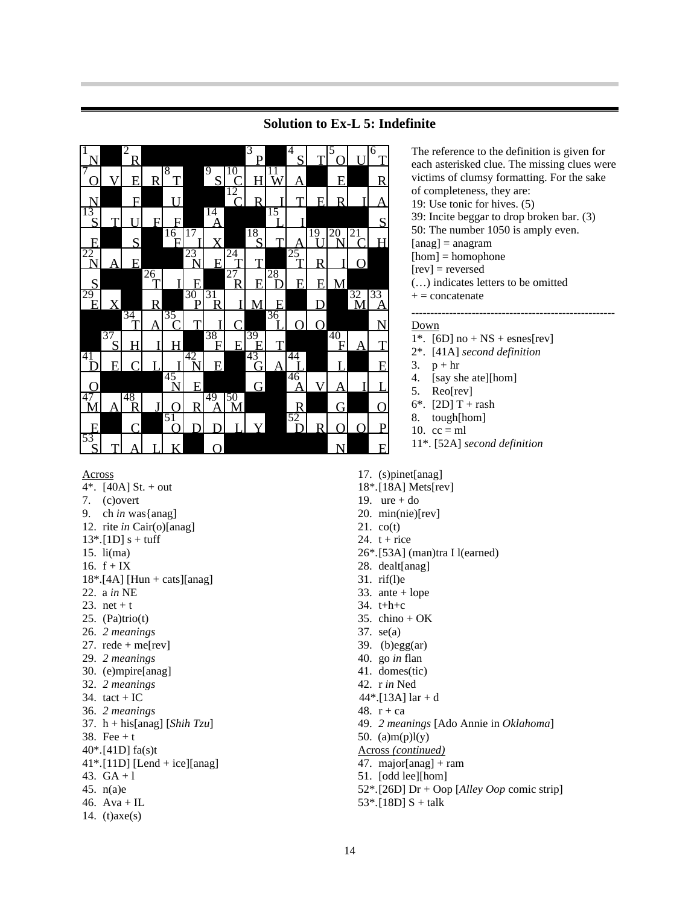

#### **Solution to Ex-L 5: Indefinite**

The reference to the definition is given for each asterisked clue. The missing clues were victims of clumsy formatting. For the sake of completeness, they are: 19: Use tonic for hives. (5) 39: Incite beggar to drop broken bar. (3) 50: The number 1050 is amply even.  $[ang] = anagram$  $[hom] = homophone$ [rev] = reversed (…) indicates letters to be omitted  $+ =$  concatenate ------------------------------------------------------ Down  $1^*$ . [6D] no + NS + esnes[rev] 2\*. [41A] *second definition* 3.  $p + hr$ 

- 4. [say she ate][hom]<br>5. Reo[rev]
- Reo[rev]
- 6\*.  $[2D] T +$ rash
- 8. tough[hom]
- 10.  $cc = ml$
- 11\*. [52A] *second definition*

- Across
- 4\*.  $[40A]$  St. + out
- 7. (c)overt
- 9. ch *in* was{anag]
- 12. rite *in* Cair(o)[anag]
- $13^*$ . [1D] s + tuff
- 15. li(ma)
- 16.  $f + IX$
- $18^*$ .[4A] [Hun + cats][anag]
- 22. a *in* NE
- 23. net + t
- 25.  $(Pa)trio(t)$
- 26. *2 meanings*
- 27.  $rede + me[rev]$
- 29. *2 meanings*
- 30. (e)mpire[anag]
- 32. *2 meanings*
- 34. tact +  $IC$
- 36. *2 meanings*
- 37. h + his[anag] [*Shih Tzu*]
- 38. Fee  $+ t$
- 40\*.[41D] fa(s)t
- 41\*.[11D] [Lend + ice][anag]
- 43.  $GA + 1$
- 45. n(a)e
- 46. Ava + IL
- 14. (t)axe(s)
- 17. (s)pinet[anag]
- 18\*.[18A] Mets[rev]
- 19. ure  $+$  do
- 20. min(nie)[rev]
- 21. co(t)
- 24.  $t + rice$
- 26\*.[53A] (man)tra I l(earned)
- 28. dealt[anag]
- 31. rif(l)e
- 33. ante + lope
- 34. t+h+c
- 35. chino +  $OK$
- 37. se(a)
- 39. (b)egg $(ar)$
- 40. go *in* flan 41. domes(tic)
- 
- 42. r *in* Ned
- 44\*.[13A] lar + d
- 48. r + ca
- 49. *2 meanings* [Ado Annie in *Oklahoma*]
- 50. (a) $m(p)l(y)$
- Across *(continued)*
- 47. major[anag] + ram
- 51. [odd lee][hom]
- 52\*.[26D] Dr + Oop [*Alley Oop* comic strip]
- $53$ <sup>\*</sup>.[18D] S + talk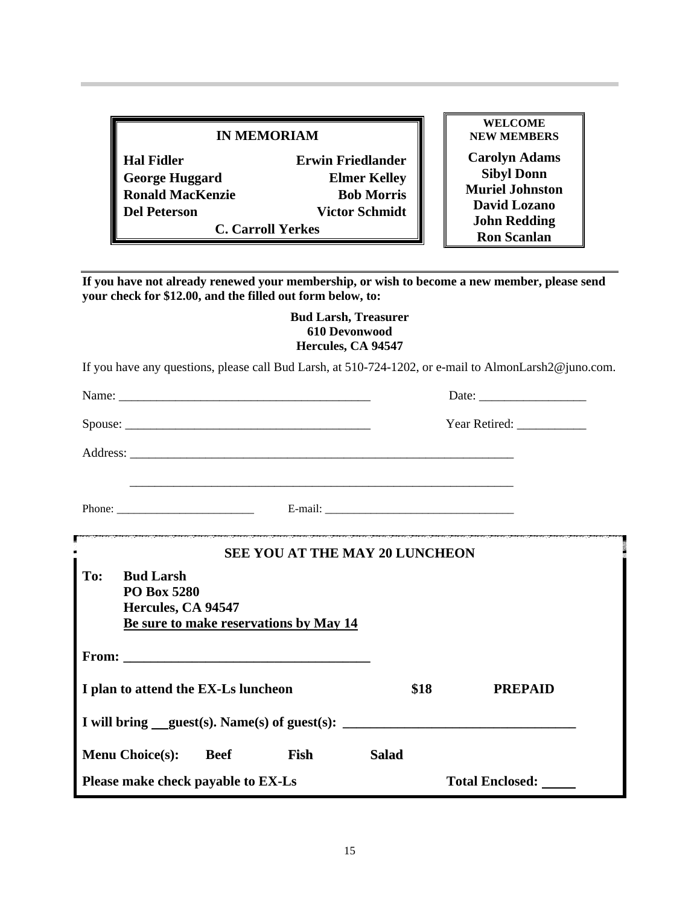#### **IN MEMORIAM**

**Hal Fidler Erwin Friedlander George Huggard Elmer Kelley Ronald MacKenzie Bob Morris Del Peterson Victor Schmidt**

**C. Carroll Yerkes**

**WELCOME NEW MEMBERS Carolyn Adams Sibyl Donn Muriel Johnston David Lozano John Redding Ron Scanlan**

**If you have not already renewed your membership, or wish to become a new member, please send your check for \$12.00, and the filled out form below, to:**

#### **Bud Larsh, Treasurer 610 Devonwood Hercules, CA 94547**

If you have any questions, please call Bud Larsh, at 510-724-1202, or e-mail to AlmonLarsh2@juno.com.

|                                        |                    |                                        |                       | Date: $\frac{1}{\sqrt{1-\frac{1}{2}}\sqrt{1-\frac{1}{2}}\sqrt{1-\frac{1}{2}}\sqrt{1-\frac{1}{2}}\sqrt{1-\frac{1}{2}}\sqrt{1-\frac{1}{2}}\sqrt{1-\frac{1}{2}}\sqrt{1-\frac{1}{2}}\sqrt{1-\frac{1}{2}}\sqrt{1-\frac{1}{2}}\sqrt{1-\frac{1}{2}}\sqrt{1-\frac{1}{2}}\sqrt{1-\frac{1}{2}}\sqrt{1-\frac{1}{2}}\sqrt{1-\frac{1}{2}}\sqrt{1-\frac{1}{2}}\sqrt{1-\frac{1}{2}}\sqrt{1-\frac{1}{2}}\sqrt{1-\frac{1}{2}}$ |  |  |
|----------------------------------------|--------------------|----------------------------------------|-----------------------|---------------------------------------------------------------------------------------------------------------------------------------------------------------------------------------------------------------------------------------------------------------------------------------------------------------------------------------------------------------------------------------------------------------|--|--|
|                                        |                    |                                        |                       | Year Retired:                                                                                                                                                                                                                                                                                                                                                                                                 |  |  |
|                                        |                    |                                        |                       |                                                                                                                                                                                                                                                                                                                                                                                                               |  |  |
|                                        |                    |                                        |                       |                                                                                                                                                                                                                                                                                                                                                                                                               |  |  |
| <b>SEE YOU AT THE MAY 20 LUNCHEON</b>  |                    |                                        |                       |                                                                                                                                                                                                                                                                                                                                                                                                               |  |  |
| To:<br><b>Bud Larsh</b><br>PO Box 5280 | Hercules, CA 94547 | Be sure to make reservations by May 14 |                       |                                                                                                                                                                                                                                                                                                                                                                                                               |  |  |
|                                        |                    |                                        |                       |                                                                                                                                                                                                                                                                                                                                                                                                               |  |  |
| I plan to attend the EX-Ls luncheon    |                    |                                        | \$18                  | <b>PREPAID</b>                                                                                                                                                                                                                                                                                                                                                                                                |  |  |
|                                        |                    |                                        |                       | I will bring _guest(s). Name(s) of guest(s): ___________________________________                                                                                                                                                                                                                                                                                                                              |  |  |
| <b>Menu Choice(s):</b>                 | <b>Beef</b>        | Fish                                   | <b>Salad</b>          |                                                                                                                                                                                                                                                                                                                                                                                                               |  |  |
| Please make check payable to EX-Ls     |                    |                                        | Total Enclosed: _____ |                                                                                                                                                                                                                                                                                                                                                                                                               |  |  |